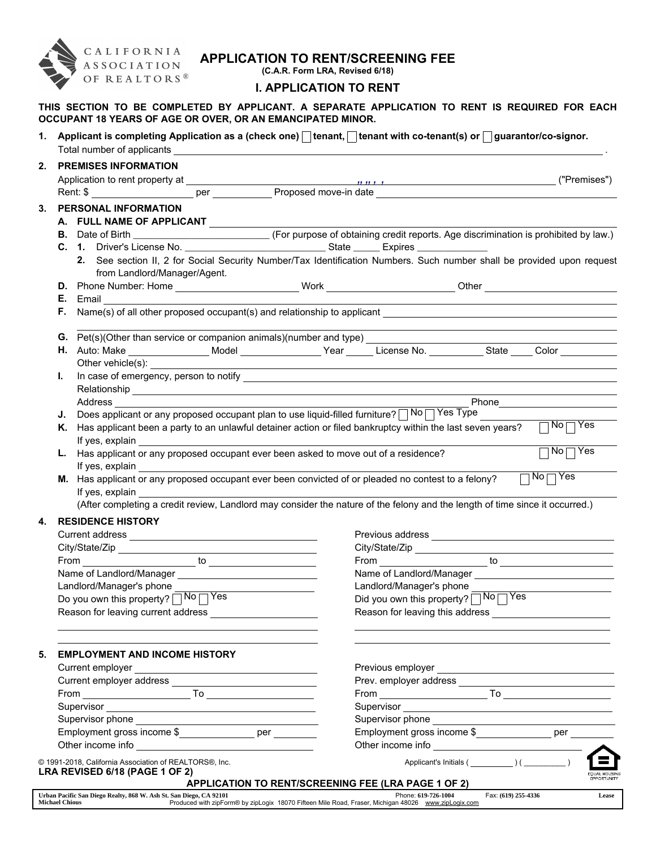

APPLICATION TO RENT/SCREENING FEE

(C.A.R. Form LRA, Revised 6/18)

## I. APPLICATION TO RENT

THIS SECTION TO BE COMPLETED BY APPLICANT. A SEPARATE APPLICATION TO RENT IS REQUIRED FOR EACH OCCUPANT 18 YEARS OF AGE OR OVER, OR AN EMANCIPATED MINOR.

1. Applicant is completing Application as a (check one)  $\Box$  tenant,  $\Box$  tenant with co-tenant(s) or  $\Box$  guarantor/co-signor. Total number of applicants .

| A. FULL NAME OF APPLICANT<br>from Landlord/Manager/Agent. |                                                                                                      | Rent: \$                                                                                                               |                                                                                                                                                                                                                                                                                                                         |                                                                                                                                                                                                                                                                                                                                                                                                                                                                                                                                                                                                                                                                                                                                                                                                                                                                                                                                                                                                                                                                                                                                                                                                                                                                                                                                                                                                                           |  |
|-----------------------------------------------------------|------------------------------------------------------------------------------------------------------|------------------------------------------------------------------------------------------------------------------------|-------------------------------------------------------------------------------------------------------------------------------------------------------------------------------------------------------------------------------------------------------------------------------------------------------------------------|---------------------------------------------------------------------------------------------------------------------------------------------------------------------------------------------------------------------------------------------------------------------------------------------------------------------------------------------------------------------------------------------------------------------------------------------------------------------------------------------------------------------------------------------------------------------------------------------------------------------------------------------------------------------------------------------------------------------------------------------------------------------------------------------------------------------------------------------------------------------------------------------------------------------------------------------------------------------------------------------------------------------------------------------------------------------------------------------------------------------------------------------------------------------------------------------------------------------------------------------------------------------------------------------------------------------------------------------------------------------------------------------------------------------------|--|
|                                                           |                                                                                                      |                                                                                                                        |                                                                                                                                                                                                                                                                                                                         |                                                                                                                                                                                                                                                                                                                                                                                                                                                                                                                                                                                                                                                                                                                                                                                                                                                                                                                                                                                                                                                                                                                                                                                                                                                                                                                                                                                                                           |  |
|                                                           |                                                                                                      |                                                                                                                        |                                                                                                                                                                                                                                                                                                                         |                                                                                                                                                                                                                                                                                                                                                                                                                                                                                                                                                                                                                                                                                                                                                                                                                                                                                                                                                                                                                                                                                                                                                                                                                                                                                                                                                                                                                           |  |
|                                                           |                                                                                                      |                                                                                                                        |                                                                                                                                                                                                                                                                                                                         |                                                                                                                                                                                                                                                                                                                                                                                                                                                                                                                                                                                                                                                                                                                                                                                                                                                                                                                                                                                                                                                                                                                                                                                                                                                                                                                                                                                                                           |  |
|                                                           |                                                                                                      |                                                                                                                        |                                                                                                                                                                                                                                                                                                                         |                                                                                                                                                                                                                                                                                                                                                                                                                                                                                                                                                                                                                                                                                                                                                                                                                                                                                                                                                                                                                                                                                                                                                                                                                                                                                                                                                                                                                           |  |
|                                                           |                                                                                                      |                                                                                                                        |                                                                                                                                                                                                                                                                                                                         |                                                                                                                                                                                                                                                                                                                                                                                                                                                                                                                                                                                                                                                                                                                                                                                                                                                                                                                                                                                                                                                                                                                                                                                                                                                                                                                                                                                                                           |  |
|                                                           |                                                                                                      |                                                                                                                        |                                                                                                                                                                                                                                                                                                                         |                                                                                                                                                                                                                                                                                                                                                                                                                                                                                                                                                                                                                                                                                                                                                                                                                                                                                                                                                                                                                                                                                                                                                                                                                                                                                                                                                                                                                           |  |
|                                                           |                                                                                                      | 2. See section II, 2 for Social Security Number/Tax Identification Numbers. Such number shall be provided upon request |                                                                                                                                                                                                                                                                                                                         |                                                                                                                                                                                                                                                                                                                                                                                                                                                                                                                                                                                                                                                                                                                                                                                                                                                                                                                                                                                                                                                                                                                                                                                                                                                                                                                                                                                                                           |  |
|                                                           |                                                                                                      |                                                                                                                        |                                                                                                                                                                                                                                                                                                                         |                                                                                                                                                                                                                                                                                                                                                                                                                                                                                                                                                                                                                                                                                                                                                                                                                                                                                                                                                                                                                                                                                                                                                                                                                                                                                                                                                                                                                           |  |
|                                                           |                                                                                                      | D. Phone Number: Home ___________________________Work __________________________Other ________________________         |                                                                                                                                                                                                                                                                                                                         |                                                                                                                                                                                                                                                                                                                                                                                                                                                                                                                                                                                                                                                                                                                                                                                                                                                                                                                                                                                                                                                                                                                                                                                                                                                                                                                                                                                                                           |  |
|                                                           |                                                                                                      | <u> 1989 - Johann Stein, marwolaethau a bhann an t-Amhain ann an t-Amhain an t-Amhain an t-Amhain an t-Amhain an </u>  |                                                                                                                                                                                                                                                                                                                         |                                                                                                                                                                                                                                                                                                                                                                                                                                                                                                                                                                                                                                                                                                                                                                                                                                                                                                                                                                                                                                                                                                                                                                                                                                                                                                                                                                                                                           |  |
|                                                           |                                                                                                      |                                                                                                                        |                                                                                                                                                                                                                                                                                                                         |                                                                                                                                                                                                                                                                                                                                                                                                                                                                                                                                                                                                                                                                                                                                                                                                                                                                                                                                                                                                                                                                                                                                                                                                                                                                                                                                                                                                                           |  |
|                                                           |                                                                                                      |                                                                                                                        |                                                                                                                                                                                                                                                                                                                         |                                                                                                                                                                                                                                                                                                                                                                                                                                                                                                                                                                                                                                                                                                                                                                                                                                                                                                                                                                                                                                                                                                                                                                                                                                                                                                                                                                                                                           |  |
|                                                           |                                                                                                      |                                                                                                                        |                                                                                                                                                                                                                                                                                                                         |                                                                                                                                                                                                                                                                                                                                                                                                                                                                                                                                                                                                                                                                                                                                                                                                                                                                                                                                                                                                                                                                                                                                                                                                                                                                                                                                                                                                                           |  |
| Other vehicle(s):                                         |                                                                                                      |                                                                                                                        |                                                                                                                                                                                                                                                                                                                         |                                                                                                                                                                                                                                                                                                                                                                                                                                                                                                                                                                                                                                                                                                                                                                                                                                                                                                                                                                                                                                                                                                                                                                                                                                                                                                                                                                                                                           |  |
|                                                           |                                                                                                      |                                                                                                                        |                                                                                                                                                                                                                                                                                                                         |                                                                                                                                                                                                                                                                                                                                                                                                                                                                                                                                                                                                                                                                                                                                                                                                                                                                                                                                                                                                                                                                                                                                                                                                                                                                                                                                                                                                                           |  |
|                                                           |                                                                                                      |                                                                                                                        |                                                                                                                                                                                                                                                                                                                         |                                                                                                                                                                                                                                                                                                                                                                                                                                                                                                                                                                                                                                                                                                                                                                                                                                                                                                                                                                                                                                                                                                                                                                                                                                                                                                                                                                                                                           |  |
|                                                           |                                                                                                      |                                                                                                                        |                                                                                                                                                                                                                                                                                                                         | Phone 2008 2010 10:00:00 10:00:00 10:00:00 10:00:00 10:00:00 10:00:00 10:00:00 10:00:00 10:00:00 10:00:00 10:0                                                                                                                                                                                                                                                                                                                                                                                                                                                                                                                                                                                                                                                                                                                                                                                                                                                                                                                                                                                                                                                                                                                                                                                                                                                                                                            |  |
|                                                           |                                                                                                      |                                                                                                                        |                                                                                                                                                                                                                                                                                                                         |                                                                                                                                                                                                                                                                                                                                                                                                                                                                                                                                                                                                                                                                                                                                                                                                                                                                                                                                                                                                                                                                                                                                                                                                                                                                                                                                                                                                                           |  |
|                                                           |                                                                                                      |                                                                                                                        |                                                                                                                                                                                                                                                                                                                         | $\neg$ No $\neg$ Yes                                                                                                                                                                                                                                                                                                                                                                                                                                                                                                                                                                                                                                                                                                                                                                                                                                                                                                                                                                                                                                                                                                                                                                                                                                                                                                                                                                                                      |  |
|                                                           |                                                                                                      |                                                                                                                        |                                                                                                                                                                                                                                                                                                                         |                                                                                                                                                                                                                                                                                                                                                                                                                                                                                                                                                                                                                                                                                                                                                                                                                                                                                                                                                                                                                                                                                                                                                                                                                                                                                                                                                                                                                           |  |
|                                                           |                                                                                                      |                                                                                                                        |                                                                                                                                                                                                                                                                                                                         | $No \overline{\bigcap Yes}$                                                                                                                                                                                                                                                                                                                                                                                                                                                                                                                                                                                                                                                                                                                                                                                                                                                                                                                                                                                                                                                                                                                                                                                                                                                                                                                                                                                               |  |
| If yes, explain                                           |                                                                                                      |                                                                                                                        |                                                                                                                                                                                                                                                                                                                         |                                                                                                                                                                                                                                                                                                                                                                                                                                                                                                                                                                                                                                                                                                                                                                                                                                                                                                                                                                                                                                                                                                                                                                                                                                                                                                                                                                                                                           |  |
|                                                           |                                                                                                      |                                                                                                                        |                                                                                                                                                                                                                                                                                                                         | $No \bigcap Yes$                                                                                                                                                                                                                                                                                                                                                                                                                                                                                                                                                                                                                                                                                                                                                                                                                                                                                                                                                                                                                                                                                                                                                                                                                                                                                                                                                                                                          |  |
|                                                           |                                                                                                      |                                                                                                                        |                                                                                                                                                                                                                                                                                                                         |                                                                                                                                                                                                                                                                                                                                                                                                                                                                                                                                                                                                                                                                                                                                                                                                                                                                                                                                                                                                                                                                                                                                                                                                                                                                                                                                                                                                                           |  |
|                                                           |                                                                                                      |                                                                                                                        |                                                                                                                                                                                                                                                                                                                         |                                                                                                                                                                                                                                                                                                                                                                                                                                                                                                                                                                                                                                                                                                                                                                                                                                                                                                                                                                                                                                                                                                                                                                                                                                                                                                                                                                                                                           |  |
|                                                           |                                                                                                      |                                                                                                                        |                                                                                                                                                                                                                                                                                                                         |                                                                                                                                                                                                                                                                                                                                                                                                                                                                                                                                                                                                                                                                                                                                                                                                                                                                                                                                                                                                                                                                                                                                                                                                                                                                                                                                                                                                                           |  |
|                                                           |                                                                                                      |                                                                                                                        |                                                                                                                                                                                                                                                                                                                         |                                                                                                                                                                                                                                                                                                                                                                                                                                                                                                                                                                                                                                                                                                                                                                                                                                                                                                                                                                                                                                                                                                                                                                                                                                                                                                                                                                                                                           |  |
|                                                           |                                                                                                      |                                                                                                                        |                                                                                                                                                                                                                                                                                                                         |                                                                                                                                                                                                                                                                                                                                                                                                                                                                                                                                                                                                                                                                                                                                                                                                                                                                                                                                                                                                                                                                                                                                                                                                                                                                                                                                                                                                                           |  |
|                                                           |                                                                                                      |                                                                                                                        |                                                                                                                                                                                                                                                                                                                         |                                                                                                                                                                                                                                                                                                                                                                                                                                                                                                                                                                                                                                                                                                                                                                                                                                                                                                                                                                                                                                                                                                                                                                                                                                                                                                                                                                                                                           |  |
|                                                           |                                                                                                      |                                                                                                                        |                                                                                                                                                                                                                                                                                                                         |                                                                                                                                                                                                                                                                                                                                                                                                                                                                                                                                                                                                                                                                                                                                                                                                                                                                                                                                                                                                                                                                                                                                                                                                                                                                                                                                                                                                                           |  |
|                                                           |                                                                                                      |                                                                                                                        |                                                                                                                                                                                                                                                                                                                         |                                                                                                                                                                                                                                                                                                                                                                                                                                                                                                                                                                                                                                                                                                                                                                                                                                                                                                                                                                                                                                                                                                                                                                                                                                                                                                                                                                                                                           |  |
|                                                           |                                                                                                      |                                                                                                                        |                                                                                                                                                                                                                                                                                                                         |                                                                                                                                                                                                                                                                                                                                                                                                                                                                                                                                                                                                                                                                                                                                                                                                                                                                                                                                                                                                                                                                                                                                                                                                                                                                                                                                                                                                                           |  |
|                                                           |                                                                                                      |                                                                                                                        |                                                                                                                                                                                                                                                                                                                         |                                                                                                                                                                                                                                                                                                                                                                                                                                                                                                                                                                                                                                                                                                                                                                                                                                                                                                                                                                                                                                                                                                                                                                                                                                                                                                                                                                                                                           |  |
|                                                           |                                                                                                      |                                                                                                                        |                                                                                                                                                                                                                                                                                                                         |                                                                                                                                                                                                                                                                                                                                                                                                                                                                                                                                                                                                                                                                                                                                                                                                                                                                                                                                                                                                                                                                                                                                                                                                                                                                                                                                                                                                                           |  |
|                                                           |                                                                                                      |                                                                                                                        |                                                                                                                                                                                                                                                                                                                         |                                                                                                                                                                                                                                                                                                                                                                                                                                                                                                                                                                                                                                                                                                                                                                                                                                                                                                                                                                                                                                                                                                                                                                                                                                                                                                                                                                                                                           |  |
|                                                           |                                                                                                      |                                                                                                                        |                                                                                                                                                                                                                                                                                                                         |                                                                                                                                                                                                                                                                                                                                                                                                                                                                                                                                                                                                                                                                                                                                                                                                                                                                                                                                                                                                                                                                                                                                                                                                                                                                                                                                                                                                                           |  |
|                                                           |                                                                                                      |                                                                                                                        |                                                                                                                                                                                                                                                                                                                         |                                                                                                                                                                                                                                                                                                                                                                                                                                                                                                                                                                                                                                                                                                                                                                                                                                                                                                                                                                                                                                                                                                                                                                                                                                                                                                                                                                                                                           |  |
|                                                           |                                                                                                      |                                                                                                                        |                                                                                                                                                                                                                                                                                                                         |                                                                                                                                                                                                                                                                                                                                                                                                                                                                                                                                                                                                                                                                                                                                                                                                                                                                                                                                                                                                                                                                                                                                                                                                                                                                                                                                                                                                                           |  |
|                                                           |                                                                                                      |                                                                                                                        |                                                                                                                                                                                                                                                                                                                         |                                                                                                                                                                                                                                                                                                                                                                                                                                                                                                                                                                                                                                                                                                                                                                                                                                                                                                                                                                                                                                                                                                                                                                                                                                                                                                                                                                                                                           |  |
|                                                           |                                                                                                      |                                                                                                                        |                                                                                                                                                                                                                                                                                                                         |                                                                                                                                                                                                                                                                                                                                                                                                                                                                                                                                                                                                                                                                                                                                                                                                                                                                                                                                                                                                                                                                                                                                                                                                                                                                                                                                                                                                                           |  |
|                                                           |                                                                                                      |                                                                                                                        |                                                                                                                                                                                                                                                                                                                         |                                                                                                                                                                                                                                                                                                                                                                                                                                                                                                                                                                                                                                                                                                                                                                                                                                                                                                                                                                                                                                                                                                                                                                                                                                                                                                                                                                                                                           |  |
|                                                           |                                                                                                      |                                                                                                                        |                                                                                                                                                                                                                                                                                                                         |                                                                                                                                                                                                                                                                                                                                                                                                                                                                                                                                                                                                                                                                                                                                                                                                                                                                                                                                                                                                                                                                                                                                                                                                                                                                                                                                                                                                                           |  |
|                                                           |                                                                                                      |                                                                                                                        |                                                                                                                                                                                                                                                                                                                         |                                                                                                                                                                                                                                                                                                                                                                                                                                                                                                                                                                                                                                                                                                                                                                                                                                                                                                                                                                                                                                                                                                                                                                                                                                                                                                                                                                                                                           |  |
|                                                           |                                                                                                      |                                                                                                                        |                                                                                                                                                                                                                                                                                                                         |                                                                                                                                                                                                                                                                                                                                                                                                                                                                                                                                                                                                                                                                                                                                                                                                                                                                                                                                                                                                                                                                                                                                                                                                                                                                                                                                                                                                                           |  |
|                                                           | Landlord/Manager's phone<br>Do you own this property? No Yes<br><b>EMPLOYMENT AND INCOME HISTORY</b> | Employment gross income \$________________ per ________                                                                | Relationship experience and the contract of the contract of the contract of the contract of the contract of the contract of the contract of the contract of the contract of the contract of the contract of the contract of th<br>L. Has applicant or any proposed occupant ever been asked to move out of a residence? | <u> 1989 - Johann Stein, marwolaethau a bhann an t-Amhair ann an t-Amhair an t-Amhair an t-Amhair an t-Amhair an</u><br>G. Pet(s)(Other than service or companion animals)(number and type) ___________________<br>H. Auto: Make ___________________Model _________________Year ______License No. ___________State _____ Color ______<br><u> 1989 - Johann Stoff, amerikansk politiker (d. 1989)</u><br>Does applicant or any proposed occupant plan to use liquid-filled furniture? $\Box$ No $\Box$ Yes Type<br>K. Has applicant been a party to an unlawful detainer action or filed bankruptcy within the last seven years?<br>M. Has applicant or any proposed occupant ever been convicted of or pleaded no contest to a felony?<br>(After completing a credit review, Landlord may consider the nature of the felony and the length of time since it occurred.)<br>Previous address <b>contract and the contract of the contract of the contract of the contract of the contract of the contract of the contract of the contract of the contract of the contract of the contract of the contract of</b><br>Landlord/Manager's phone<br>Did you own this property? $\boxed{\color{blue} \text{No} \; \boxed{\color{blue} \text{Yes}}}$<br>From To To The To The To To The To The To The To The To The To The To The To The To The To The To The To The T<br>Employment gross income \$_________________ per _______ |  |